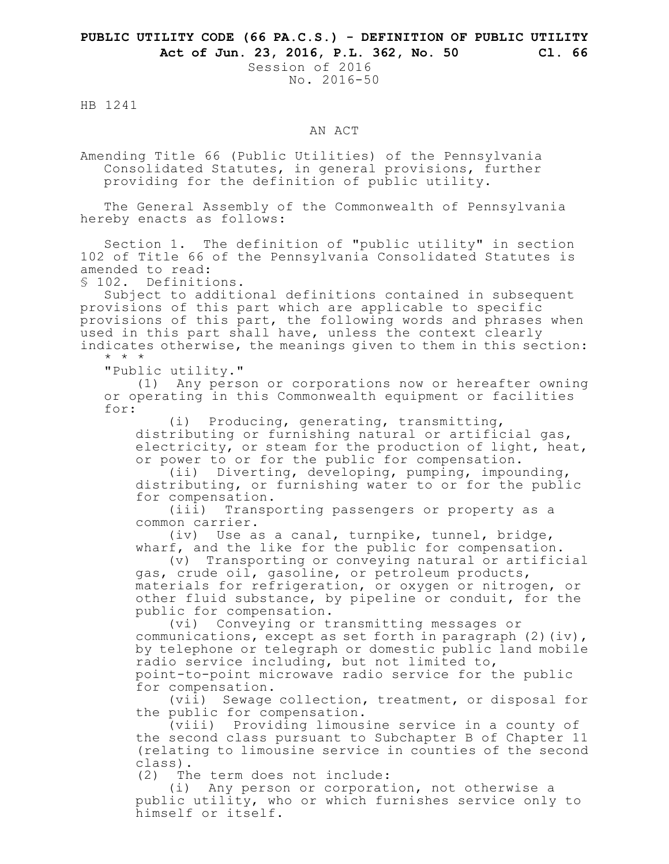## **PUBLIC UTILITY CODE (66 PA.C.S.) - DEFINITION OF PUBLIC UTILITY Act of Jun. 23, 2016, P.L. 362, No. 50 Cl. 66**

Session of 2016 No. 2016-50

HB 1241

## AN ACT

Amending Title 66 (Public Utilities) of the Pennsylvania Consolidated Statutes, in general provisions, further providing for the definition of public utility.

The General Assembly of the Commonwealth of Pennsylvania hereby enacts as follows:

Section 1. The definition of "public utility" in section 102 of Title 66 of the Pennsylvania Consolidated Statutes is amended to read:

§ 102. Definitions.

Subject to additional definitions contained in subsequent provisions of this part which are applicable to specific provisions of this part, the following words and phrases when used in this part shall have, unless the context clearly indicates otherwise, the meanings given to them in this section:

"Public utility."

\* \* \*

(1) Any person or corporations now or hereafter owning or operating in this Commonwealth equipment or facilities for:

(i) Producing, generating, transmitting,

distributing or furnishing natural or artificial gas, electricity, or steam for the production of light, heat, or power to or for the public for compensation.

(ii) Diverting, developing, pumping, impounding, distributing, or furnishing water to or for the public for compensation.<br>(iii) Transpo

Transporting passengers or property as a common carrier.

(iv) Use as a canal, turnpike, tunnel, bridge, wharf, and the like for the public for compensation.

(v) Transporting or conveying natural or artificial gas, crude oil, gasoline, or petroleum products, materials for refrigeration, or oxygen or nitrogen, or other fluid substance, by pipeline or conduit, for the public for compensation.

(vi) Conveying or transmitting messages or communications, except as set forth in paragraph  $(2)(iv)$ , by telephone or telegraph or domestic public land mobile radio service including, but not limited to, point-to-point microwave radio service for the public for compensation.

(vii) Sewage collection, treatment, or disposal for the public for compensation.

(viii) Providing limousine service in a county of the second class pursuant to Subchapter B of Chapter 11 (relating to limousine service in counties of the second class).

(2) The term does not include:

(i) Any person or corporation, not otherwise a public utility, who or which furnishes service only to himself or itself.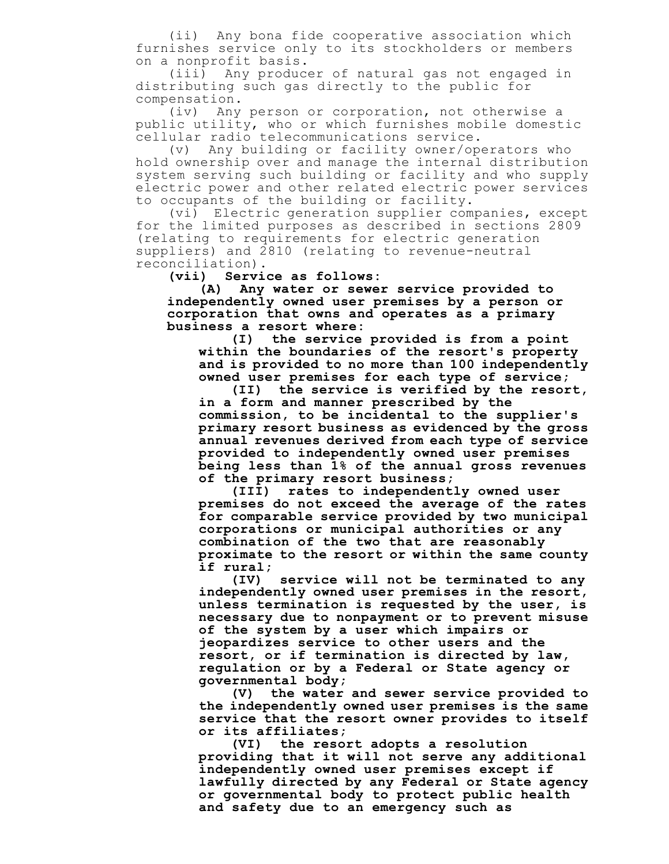(ii) Any bona fide cooperative association which furnishes service only to its stockholders or members on a nonprofit basis.

(iii) Any producer of natural gas not engaged in distributing such gas directly to the public for compensation.

(iv) Any person or corporation, not otherwise a public utility, who or which furnishes mobile domestic cellular radio telecommunications service.

(v) Any building or facility owner/operators who hold ownership over and manage the internal distribution system serving such building or facility and who supply electric power and other related electric power services to occupants of the building or facility.

(vi) Electric generation supplier companies, except for the limited purposes as described in sections 2809 (relating to requirements for electric generation suppliers) and 2810 (relating to revenue-neutral reconciliation).

**(vii) Service as follows:**

**(A) Any water or sewer service provided to independently owned user premises by a person or corporation that owns and operates as a primary business a resort where:**

**(I) the service provided is from a point within the boundaries of the resort's property and is provided to no more than 100 independently owned user premises for each type of service;**

**(II) the service is verified by the resort, in a form and manner prescribed by the commission, to be incidental to the supplier's primary resort business as evidenced by the gross annual revenues derived from each type of service provided to independently owned user premises being less than 1% of the annual gross revenues of the primary resort business;**

**(III) rates to independently owned user premises do not exceed the average of the rates for comparable service provided by two municipal corporations or municipal authorities or any combination of the two that are reasonably proximate to the resort or within the same county if rural;**

**(IV) service will not be terminated to any independently owned user premises in the resort, unless termination is requested by the user, is necessary due to nonpayment or to prevent misuse of the system by a user which impairs or jeopardizes service to other users and the resort, or if termination is directed by law, regulation or by a Federal or State agency or governmental body;**

**(V) the water and sewer service provided to the independently owned user premises is the same service that the resort owner provides to itself or its affiliates;**

**(VI) the resort adopts a resolution providing that it will not serve any additional independently owned user premises except if lawfully directed by any Federal or State agency or governmental body to protect public health and safety due to an emergency such as**